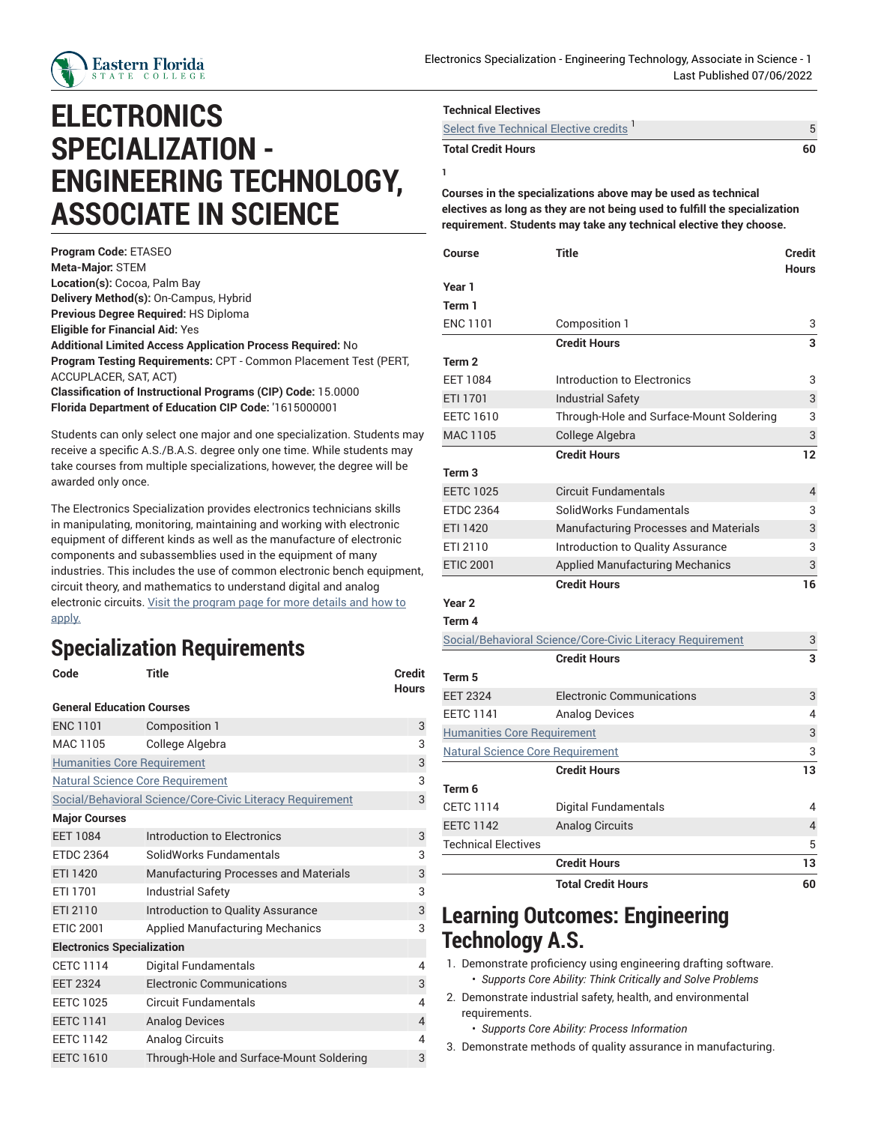

## **ELECTRONICS SPECIALIZATION - ENGINEERING TECHNOLOGY, ASSOCIATE IN SCIENCE**

**Program Code:** ETASEO **Meta-Major:** STEM **Location(s):** Cocoa, Palm Bay **Delivery Method(s):** On-Campus, Hybrid **Previous Degree Required:** HS Diploma **Eligible for Financial Aid:** Yes **Additional Limited Access Application Process Required:** No **Program Testing Requirements:** CPT - Common Placement Test (PERT, ACCUPLACER, SAT, ACT) **Classification of Instructional Programs (CIP) Code:** 15.0000 **Florida Department of Education CIP Code:** '1615000001

Students can only select one major and one specialization. Students may receive a specific A.S./B.A.S. degree only one time. While students may take courses from multiple specializations, however, the degree will be awarded only once.

The Electronics Specialization provides electronics technicians skills in manipulating, monitoring, maintaining and working with electronic equipment of different kinds as well as the manufacture of electronic components and subassemblies used in the equipment of many industries. This includes the use of common electronic bench equipment, circuit theory, and mathematics to understand digital and analog electronic circuits. Visit the [program](https://www.easternflorida.edu/academics/career-technical-programs/our-programs/engineering-tech/) page for more details and how to [apply.](https://www.easternflorida.edu/academics/career-technical-programs/our-programs/engineering-tech/)

## **Specialization Requirements**

| 3 |
|---|
| 3 |
| 3 |
| 3 |
| 3 |
|   |
| 3 |
| 3 |
| 3 |
| 3 |
| 3 |
| 3 |
|   |
| 4 |
| 3 |
| 4 |
| 4 |
| 4 |
| 3 |
|   |

| <b>Technical Electives</b>             |    |
|----------------------------------------|----|
| Select five Technical Elective credits |    |
| <b>Total Credit Hours</b>              | 60 |

**Courses in the specializations above may be used as technical electives as long as they are not being used to fulfill the specialization requirement. Students may take any technical elective they choose.**

**1**

| Course                                  | <b>Title</b>                                              | Credit<br><b>Hours</b> |
|-----------------------------------------|-----------------------------------------------------------|------------------------|
| Year 1                                  |                                                           |                        |
| Term 1                                  |                                                           |                        |
| <b>ENC 1101</b>                         | Composition 1                                             | 3                      |
|                                         | <b>Credit Hours</b>                                       | 3                      |
| Term <sub>2</sub>                       |                                                           |                        |
| <b>EET 1084</b>                         | Introduction to Electronics                               | 3                      |
| ETI 1701                                | <b>Industrial Safety</b>                                  | 3                      |
| <b>EETC 1610</b>                        | Through-Hole and Surface-Mount Soldering                  | 3                      |
| <b>MAC 1105</b>                         | College Algebra                                           | 3                      |
|                                         | <b>Credit Hours</b>                                       | 12                     |
| Term <sub>3</sub>                       |                                                           |                        |
| <b>EETC 1025</b>                        | <b>Circuit Fundamentals</b>                               | $\overline{4}$         |
| <b>ETDC 2364</b>                        | SolidWorks Fundamentals                                   | 3                      |
| ETI 1420                                | <b>Manufacturing Processes and Materials</b>              | 3                      |
| ETI 2110                                | Introduction to Quality Assurance                         | 3                      |
| <b>ETIC 2001</b>                        | <b>Applied Manufacturing Mechanics</b>                    | 3                      |
|                                         | <b>Credit Hours</b>                                       | 16                     |
| Year <sub>2</sub>                       |                                                           |                        |
| Term 4                                  |                                                           |                        |
|                                         | Social/Behavioral Science/Core-Civic Literacy Requirement | 3                      |
|                                         | <b>Credit Hours</b>                                       |                        |
| Term 5                                  |                                                           |                        |
| <b>EET 2324</b>                         | <b>Electronic Communications</b>                          | 3                      |
| <b>EETC 1141</b>                        | <b>Analog Devices</b>                                     | 4                      |
| <b>Humanities Core Requirement</b>      |                                                           | 3                      |
| <b>Natural Science Core Requirement</b> |                                                           | 3                      |
|                                         | <b>Credit Hours</b>                                       | 13                     |
| Term 6                                  |                                                           |                        |
| <b>CETC 1114</b>                        | <b>Digital Fundamentals</b>                               | 4                      |
| <b>EETC 1142</b>                        | <b>Analog Circuits</b>                                    | 4                      |
| <b>Technical Electives</b>              |                                                           | 5                      |
|                                         | <b>Credit Hours</b>                                       | 13                     |
|                                         | <b>Total Credit Hours</b>                                 | 60                     |

## **Learning Outcomes: Engineering Technology A.S.**

1. Demonstrate proficiency using engineering drafting software. • *Supports Core Ability: Think Critically and Solve Problems*

2. Demonstrate industrial safety, health, and environmental requirements.

• *Supports Core Ability: Process Information*

3. Demonstrate methods of quality assurance in manufacturing.